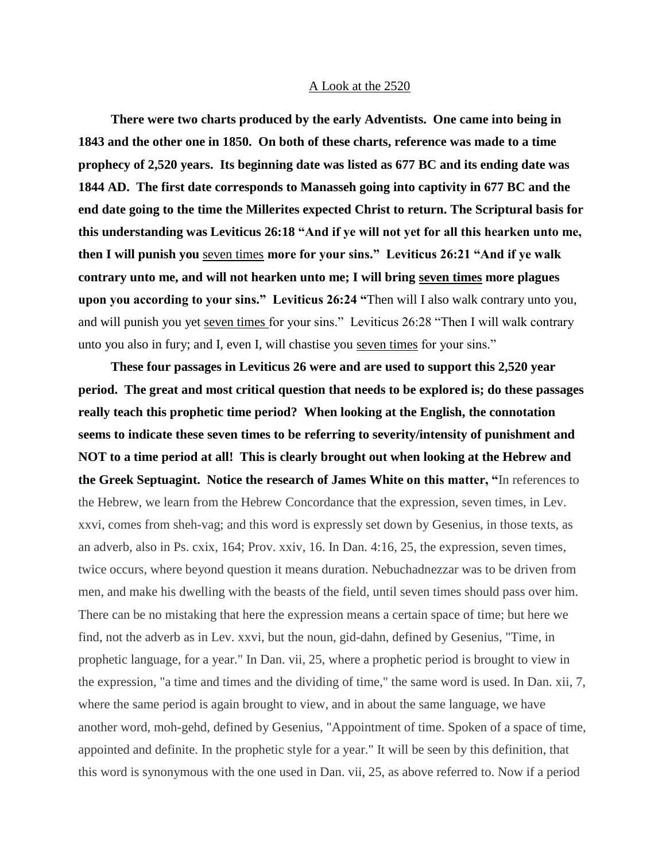## A Look at the 2520

 **There were two charts produced by the early Adventists. One came into being in 1843 and the other one in 1850. On both of these charts, reference was made to a time prophecy of 2,520 years. Its beginning date was listed as 677 BC and its ending date was 1844 AD. The first date corresponds to Manasseh going into captivity in 677 BC and the end date going to the time the Millerites expected Christ to return. The Scriptural basis for this understanding was Leviticus 26:18 "And if ye will not yet for all this hearken unto me, then I will punish you** seven times **more for your sins." Leviticus 26:21 "And if ye walk contrary unto me, and will not hearken unto me; I will bring seven times more plagues upon you according to your sins." Leviticus 26:24 "**Then will I also walk contrary unto you, and will punish you yet seven times for your sins." Leviticus 26:28 "Then I will walk contrary unto you also in fury; and I, even I, will chastise you seven times for your sins."

 **These four passages in Leviticus 26 were and are used to support this 2,520 year period. The great and most critical question that needs to be explored is; do these passages really teach this prophetic time period? When looking at the English, the connotation seems to indicate these seven times to be referring to severity/intensity of punishment and NOT to a time period at all! This is clearly brought out when looking at the Hebrew and the Greek Septuagint. Notice the research of James White on this matter, "**In references to the Hebrew, we learn from the Hebrew Concordance that the expression, seven times, in Lev. xxvi, comes from sheh-vag; and this word is expressly set down by Gesenius, in those texts, as an adverb, also in Ps. cxix, 164; Prov. xxiv, 16. In Dan. 4:16, 25, the expression, seven times, twice occurs, where beyond question it means duration. Nebuchadnezzar was to be driven from men, and make his dwelling with the beasts of the field, until seven times should pass over him. There can be no mistaking that here the expression means a certain space of time; but here we find, not the adverb as in Lev. xxvi, but the noun, gid-dahn, defined by Gesenius, "Time, in prophetic language, for a year." In Dan. vii, 25, where a prophetic period is brought to view in the expression, "a time and times and the dividing of time," the same word is used. In Dan. xii, 7, where the same period is again brought to view, and in about the same language, we have another word, moh-gehd, defined by Gesenius, "Appointment of time. Spoken of a space of time, appointed and definite. In the prophetic style for a year." It will be seen by this definition, that this word is synonymous with the one used in Dan. vii, 25, as above referred to. Now if a period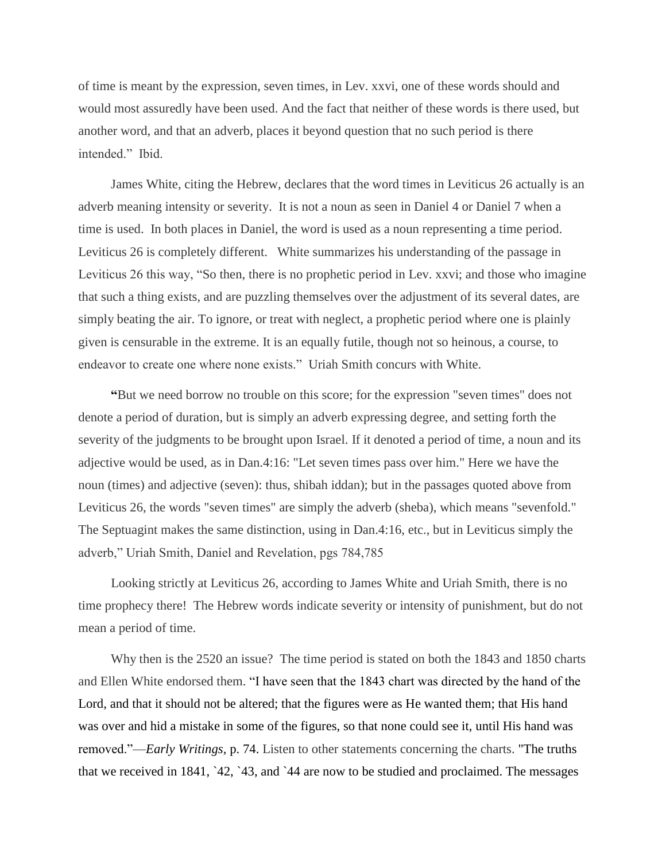of time is meant by the expression, seven times, in Lev. xxvi, one of these words should and would most assuredly have been used. And the fact that neither of these words is there used, but another word, and that an adverb, places it beyond question that no such period is there intended." Ibid.

 James White, citing the Hebrew, declares that the word times in Leviticus 26 actually is an adverb meaning intensity or severity. It is not a noun as seen in Daniel 4 or Daniel 7 when a time is used. In both places in Daniel, the word is used as a noun representing a time period. Leviticus 26 is completely different. White summarizes his understanding of the passage in Leviticus 26 this way, "So then, there is no prophetic period in Lev. xxvi; and those who imagine that such a thing exists, and are puzzling themselves over the adjustment of its several dates, are simply beating the air. To ignore, or treat with neglect, a prophetic period where one is plainly given is censurable in the extreme. It is an equally futile, though not so heinous, a course, to endeavor to create one where none exists." Uriah Smith concurs with White.

 **"**But we need borrow no trouble on this score; for the expression "seven times" does not denote a period of duration, but is simply an adverb expressing degree, and setting forth the severity of the judgments to be brought upon Israel. If it denoted a period of time, a noun and its adjective would be used, as in Dan.4:16: "Let seven times pass over him." Here we have the noun (times) and adjective (seven): thus, shibah iddan); but in the passages quoted above from Leviticus 26, the words "seven times" are simply the adverb (sheba), which means "sevenfold." The Septuagint makes the same distinction, using in Dan.4:16, etc., but in Leviticus simply the adverb," Uriah Smith, Daniel and Revelation, pgs 784,785

 Looking strictly at Leviticus 26, according to James White and Uriah Smith, there is no time prophecy there! The Hebrew words indicate severity or intensity of punishment, but do not mean a period of time.

 Why then is the 2520 an issue? The time period is stated on both the 1843 and 1850 charts and Ellen White endorsed them. "I have seen that the 1843 chart was directed by the hand of the Lord, and that it should not be altered; that the figures were as He wanted them; that His hand was over and hid a mistake in some of the figures, so that none could see it, until His hand was removed."—*Early Writings,* p. 74. Listen to other statements concerning the charts. "The truths that we received in 1841, `42, `43, and `44 are now to be studied and proclaimed. The messages